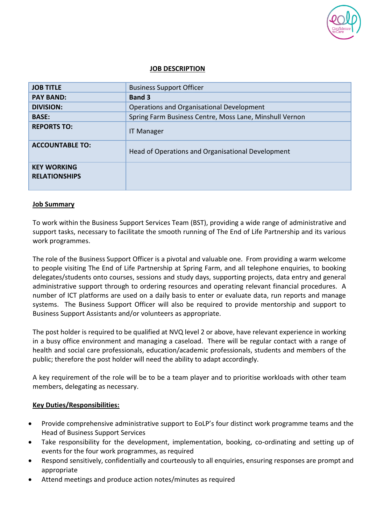

## **JOB DESCRIPTION**

| <b>JOB TITLE</b>                           | <b>Business Support Officer</b>                         |
|--------------------------------------------|---------------------------------------------------------|
| <b>PAY BAND:</b>                           | <b>Band 3</b>                                           |
| <b>DIVISION:</b>                           | Operations and Organisational Development               |
| <b>BASE:</b>                               | Spring Farm Business Centre, Moss Lane, Minshull Vernon |
| <b>REPORTS TO:</b>                         | <b>IT Manager</b>                                       |
| <b>ACCOUNTABLE TO:</b>                     | Head of Operations and Organisational Development       |
| <b>KEY WORKING</b><br><b>RELATIONSHIPS</b> |                                                         |

#### **Job Summary**

To work within the Business Support Services Team (BST), providing a wide range of administrative and support tasks, necessary to facilitate the smooth running of The End of Life Partnership and its various work programmes.

The role of the Business Support Officer is a pivotal and valuable one. From providing a warm welcome to people visiting The End of Life Partnership at Spring Farm, and all telephone enquiries, to booking delegates/students onto courses, sessions and study days, supporting projects, data entry and general administrative support through to ordering resources and operating relevant financial procedures. A number of ICT platforms are used on a daily basis to enter or evaluate data, run reports and manage systems. The Business Support Officer will also be required to provide mentorship and support to Business Support Assistants and/or volunteers as appropriate.

The post holder is required to be qualified at NVQ level 2 or above, have relevant experience in working in a busy office environment and managing a caseload. There will be regular contact with a range of health and social care professionals, education/academic professionals, students and members of the public; therefore the post holder will need the ability to adapt accordingly.

A key requirement of the role will be to be a team player and to prioritise workloads with other team members, delegating as necessary.

## **Key Duties/Responsibilities:**

- Provide comprehensive administrative support to EoLP's four distinct work programme teams and the Head of Business Support Services
- Take responsibility for the development, implementation, booking, co-ordinating and setting up of events for the four work programmes, as required
- Respond sensitively, confidentially and courteously to all enquiries, ensuring responses are prompt and appropriate
- Attend meetings and produce action notes/minutes as required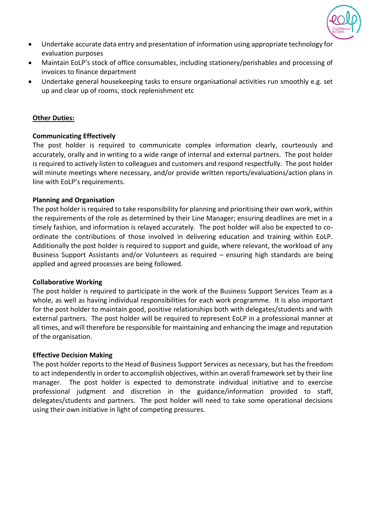

- Undertake accurate data entry and presentation of information using appropriate technology for evaluation purposes
- Maintain EoLP's stock of office consumables, including stationery/perishables and processing of invoices to finance department
- Undertake general housekeeping tasks to ensure organisational activities run smoothly e.g. set up and clear up of rooms, stock replenishment etc

## **Other Duties:**

## **Communicating Effectively**

The post holder is required to communicate complex information clearly, courteously and accurately, orally and in writing to a wide range of internal and external partners. The post holder is required to actively listen to colleagues and customers and respond respectfully. The post holder will minute meetings where necessary, and/or provide written reports/evaluations/action plans in line with EoLP's requirements.

## **Planning and Organisation**

The post holder is required to take responsibility for planning and prioritising their own work, within the requirements of the role as determined by their Line Manager; ensuring deadlines are met in a timely fashion, and information is relayed accurately. The post holder will also be expected to coordinate the contributions of those involved in delivering education and training within EoLP. Additionally the post holder is required to support and guide, where relevant, the workload of any Business Support Assistants and/or Volunteers as required – ensuring high standards are being applied and agreed processes are being followed.

## **Collaborative Working**

The post holder is required to participate in the work of the Business Support Services Team as a whole, as well as having individual responsibilities for each work programme. It is also important for the post holder to maintain good, positive relationships both with delegates/students and with external partners. The post holder will be required to represent EoLP in a professional manner at all times, and will therefore be responsible for maintaining and enhancing the image and reputation of the organisation.

## **Effective Decision Making**

The post holder reports to the Head of Business Support Services as necessary, but has the freedom to act independently in order to accomplish objectives, within an overall framework set by their line manager. The post holder is expected to demonstrate individual initiative and to exercise professional judgment and discretion in the guidance/information provided to staff, delegates/students and partners. The post holder will need to take some operational decisions using their own initiative in light of competing pressures.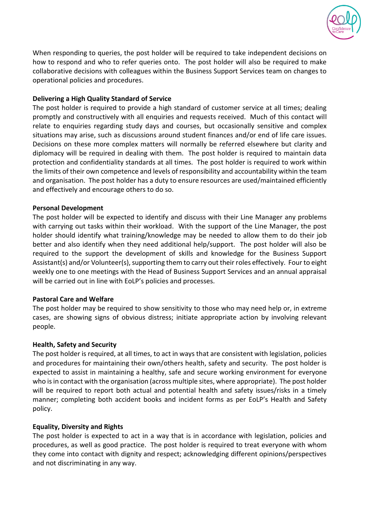

When responding to queries, the post holder will be required to take independent decisions on how to respond and who to refer queries onto. The post holder will also be required to make collaborative decisions with colleagues within the Business Support Services team on changes to operational policies and procedures.

## **Delivering a High Quality Standard of Service**

The post holder is required to provide a high standard of customer service at all times; dealing promptly and constructively with all enquiries and requests received. Much of this contact will relate to enquiries regarding study days and courses, but occasionally sensitive and complex situations may arise, such as discussions around student finances and/or end of life care issues. Decisions on these more complex matters will normally be referred elsewhere but clarity and diplomacy will be required in dealing with them. The post holder is required to maintain data protection and confidentiality standards at all times. The post holder is required to work within the limits of their own competence and levels of responsibility and accountability within the team and organisation. The post holder has a duty to ensure resources are used/maintained efficiently and effectively and encourage others to do so.

## **Personal Development**

The post holder will be expected to identify and discuss with their Line Manager any problems with carrying out tasks within their workload. With the support of the Line Manager, the post holder should identify what training/knowledge may be needed to allow them to do their job better and also identify when they need additional help/support. The post holder will also be required to the support the development of skills and knowledge for the Business Support Assistant(s) and/or Volunteer(s), supporting them to carry out their roles effectively. Four to eight weekly one to one meetings with the Head of Business Support Services and an annual appraisal will be carried out in line with EoLP's policies and processes.

## **Pastoral Care and Welfare**

The post holder may be required to show sensitivity to those who may need help or, in extreme cases, are showing signs of obvious distress; initiate appropriate action by involving relevant people.

## **Health, Safety and Security**

The post holder is required, at all times, to act in ways that are consistent with legislation, policies and procedures for maintaining their own/others health, safety and security. The post holder is expected to assist in maintaining a healthy, safe and secure working environment for everyone who is in contact with the organisation (across multiple sites, where appropriate). The post holder will be required to report both actual and potential health and safety issues/risks in a timely manner; completing both accident books and incident forms as per EoLP's Health and Safety policy.

## **Equality, Diversity and Rights**

The post holder is expected to act in a way that is in accordance with legislation, policies and procedures, as well as good practice. The post holder is required to treat everyone with whom they come into contact with dignity and respect; acknowledging different opinions/perspectives and not discriminating in any way.